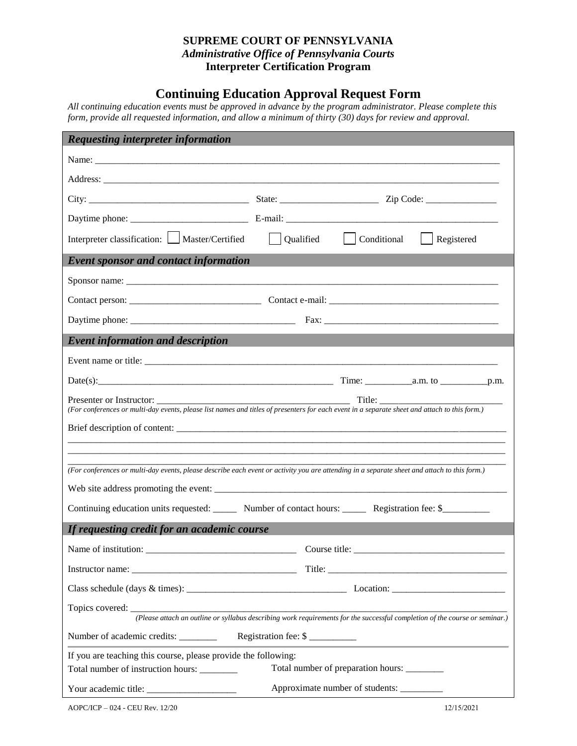## **SUPREME COURT OF PENNSYLVANIA**  *Administrative Office of Pennsylvania Courts* **Interpreter Certification Program**

## **Continuing Education Approval Request Form**

*All continuing education events must be approved in advance by the program administrator. Please complete this form, provide all requested information, and allow a minimum of thirty (30) days for review and approval.*

| <b>Requesting interpreter information</b>                                                                                                     |                                             |  |            |  |
|-----------------------------------------------------------------------------------------------------------------------------------------------|---------------------------------------------|--|------------|--|
|                                                                                                                                               |                                             |  |            |  |
|                                                                                                                                               |                                             |  |            |  |
|                                                                                                                                               |                                             |  |            |  |
|                                                                                                                                               |                                             |  |            |  |
| Interpreter classification: Master/Certified   Qualified   Conditional                                                                        |                                             |  | Registered |  |
| <b>Event sponsor and contact information</b>                                                                                                  |                                             |  |            |  |
|                                                                                                                                               |                                             |  |            |  |
|                                                                                                                                               |                                             |  |            |  |
|                                                                                                                                               |                                             |  |            |  |
| <b>Event information and description</b>                                                                                                      |                                             |  |            |  |
|                                                                                                                                               |                                             |  |            |  |
|                                                                                                                                               |                                             |  |            |  |
| (For conferences or multi-day events, please list names and titles of presenters for each event in a separate sheet and attach to this form.) |                                             |  |            |  |
|                                                                                                                                               |                                             |  |            |  |
|                                                                                                                                               |                                             |  |            |  |
| (For conferences or multi-day events, please describe each event or activity you are attending in a separate sheet and attach to this form.)  |                                             |  |            |  |
|                                                                                                                                               |                                             |  |            |  |
| Continuing education units requested: _______ Number of contact hours: _______ Registration fee: \$_________                                  |                                             |  |            |  |
| If requesting credit for an academic course                                                                                                   |                                             |  |            |  |
|                                                                                                                                               |                                             |  |            |  |
|                                                                                                                                               |                                             |  |            |  |
|                                                                                                                                               |                                             |  |            |  |
|                                                                                                                                               |                                             |  |            |  |
| Number of academic credits: ________<br>Registration fee: \$                                                                                  |                                             |  |            |  |
| If you are teaching this course, please provide the following:                                                                                |                                             |  |            |  |
| Total number of instruction hours: _______                                                                                                    | Total number of preparation hours: ________ |  |            |  |
|                                                                                                                                               | Approximate number of students: __________  |  |            |  |